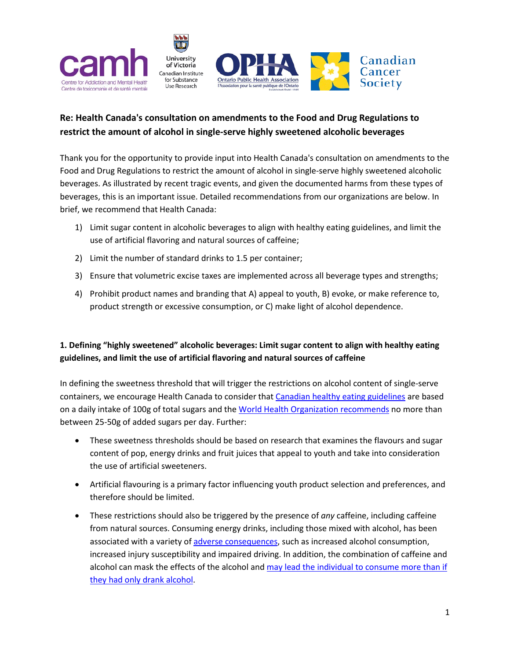

# **Re: Health Canada's consultation on amendments to the Food and Drug Regulations to restrict the amount of alcohol in single-serve highly sweetened alcoholic beverages**

Thank you for the opportunity to provide input into Health Canada's consultation on amendments to the Food and Drug Regulations to restrict the amount of alcohol in single-serve highly sweetened alcoholic beverages. As illustrated by recent tragic events, and given the documented harms from these types of beverages, this is an important issue. Detailed recommendations from our organizations are below. In brief, we recommend that Health Canada:

- 1) Limit sugar content in alcoholic beverages to align with healthy eating guidelines, and limit the use of artificial flavoring and natural sources of caffeine;
- 2) Limit the number of standard drinks to 1.5 per container;
- 3) Ensure that volumetric excise taxes are implemented across all beverage types and strengths;
- 4) Prohibit product names and branding that A) appeal to youth, B) evoke, or make reference to, product strength or excessive consumption, or C) make light of alcohol dependence.

# **1. Defining "highly sweetened" alcoholic beverages: Limit sugar content to align with healthy eating guidelines, and limit the use of artificial flavoring and natural sources of caffeine**

In defining the sweetness threshold that will trigger the restrictions on alcohol content of single-serve containers, we encourage Health Canada to consider that [Canadian healthy eating](https://www.canada.ca/en/health-canada/services/nutrients/sugars.html#he) guidelines are based on a daily intake of 100g of total sugars and th[e World Health Organization recommends](http://www.who.int/nutrition/publications/guidelines/sugars_intake/en/) no more than between 25-50g of added sugars per day. Further:

- These sweetness thresholds should be based on research that examines the flavours and sugar content of pop, energy drinks and fruit juices that appeal to youth and take into consideration the use of artificial sweeteners.
- Artificial flavouring is a primary factor influencing youth product selection and preferences, and therefore should be limited.
- These restrictions should also be triggered by the presence of *any* caffeine, including caffeine from natural sources. Consuming energy drinks, including those mixed with alcohol, has been associated with a variety o[f adverse consequences,](https://www.ncbi.nlm.nih.gov/pubmed/27855083) such as increased alcohol consumption, increased injury susceptibility and impaired driving. In addition, the combination of caffeine and alcohol can mask the effects of the alcohol and [may lead the individual to consume more than if](http://cmajopen.ca/content/1/1/E19)  [they had only drank alcohol.](http://cmajopen.ca/content/1/1/E19)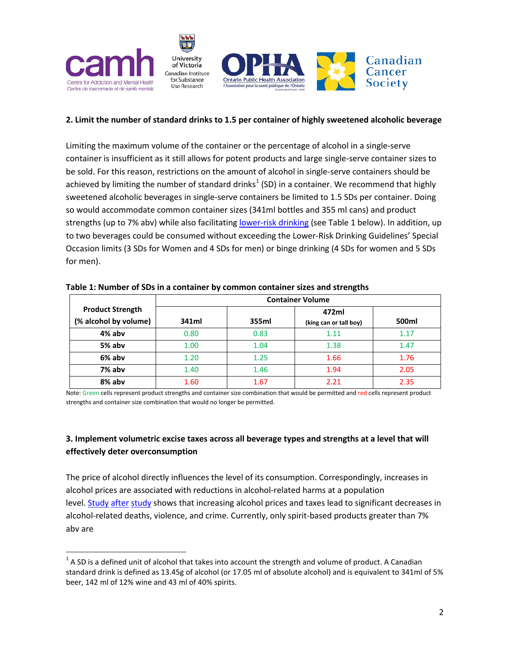

#### **2. Limit the number of standard drinks to 1.5 per container of highly sweetened alcoholic beverage**

Limiting the maximum volume of the container or the percentage of alcohol in a single-serve container is insufficient as it still allows for potent products and large single-serve container sizes to be sold. For this reason, restrictions on the amount of alcohol in single-serve containers should be achieved by limiting the number of standard drinks<sup>[1](#page-1-0)</sup> (SD) in a container. We recommend that highly sweetened alcoholic beverages in single-serve containers be limited to 1.5 SDs per container. Doing so would accommodate common container sizes (341ml bottles and 355 ml cans) and product strengths (up to 7% abv) while also facilitating [lower-risk drinking](http://www.ccsa.ca/Resource%20Library/2012-Canada-Low-Risk-Alcohol-Drinking-Guidelines-Brochure-en.pdf) (see Table 1 below). In addition, up to two beverages could be consumed without exceeding the Lower-Risk Drinking Guidelines' Special Occasion limits (3 SDs for Women and 4 SDs for men) or binge drinking (4 SDs for women and 5 SDs for men).

|                                                  | <b>Container Volume</b> |       |                                 |       |
|--------------------------------------------------|-------------------------|-------|---------------------------------|-------|
| <b>Product Strength</b><br>(% alcohol by volume) | 341ml                   | 355ml | 472ml<br>(king can or tall boy) | 500ml |
| 4% abv                                           | 0.80                    | 0.83  | 1.11                            | 1.17  |
| 5% abv                                           | 1.00                    | 1.04  | 1.38                            | 1.47  |
| 6% abv                                           | 1.20                    | 1.25  | 1.66                            | 1.76  |
| 7% abv                                           | 1.40                    | 1.46  | 1.94                            | 2.05  |
| 8% abv                                           | 1.60                    | 1.67  | 2.21                            | 2.35  |

**Table 1: Number of SDs in a container by common container sizes and strengths**

Note: Green cells represent product strengths and container size combination that would be permitted and red cells represent product strengths and container size combination that would no longer be permitted.

### **3. Implement volumetric excise taxes across all beverage types and strengths at a level that will effectively deter overconsumption**

The price of alcohol directly influences the level of its consumption. Correspondingly, increases in alcohol prices are associated with reductions in alcohol-related harms at a population level. [Study](https://www.ncbi.nlm.nih.gov/pmc/articles/PMC2951962/) [after](https://www.ncbi.nlm.nih.gov/labs/articles/27919442/) [study](https://www.ncbi.nlm.nih.gov/pubmed/20117579) shows that increasing alcohol prices and taxes lead to significant decreases in alcohol-related deaths, violence, and crime. Currently, only spirit-based products greater than 7% abv are

<span id="page-1-0"></span> $1$  A SD is a defined unit of alcohol that takes into account the strength and volume of product. A Canadian standard drink is defined as 13.45g of alcohol (or 17.05 ml of absolute alcohol) and is equivalent to 341ml of 5% beer, 142 ml of 12% wine and 43 ml of 40% spirits.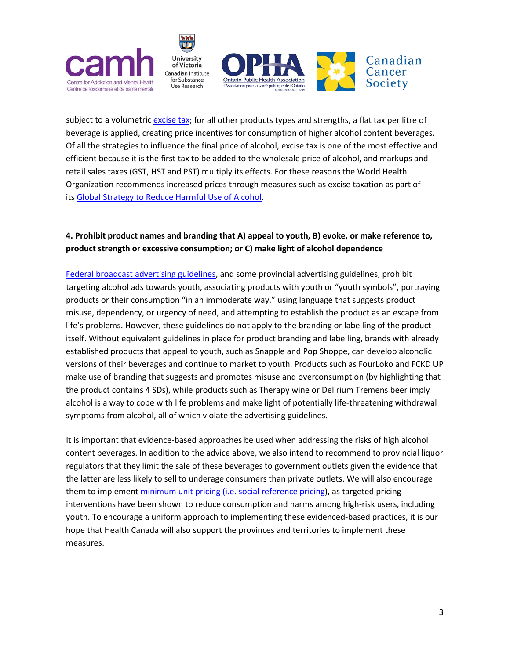

subject to a volumetric [excise tax;](https://www.canada.ca/en/revenue-agency/services/forms-publications/publications/edrates-excise-duty-rates/excise-duty-rates.html#_Toc505753866) for all other products types and strengths, a flat tax per litre of beverage is applied, creating price incentives for consumption of higher alcohol content beverages. Of all the strategies to influence the final price of alcohol, excise tax is one of the most effective and efficient because it is the first tax to be added to the wholesale price of alcohol, and markups and retail sales taxes (GST, HST and PST) multiply its effects. For these reasons the World Health Organization recommends increased prices through measures such as excise taxation as part of its [Global Strategy to Reduce Harmful Use of Alcohol.](http://www.who.int/substance_abuse/activities/gsrhua/en/)

### **4. Prohibit product names and branding that A) appeal to youth, B) evoke, or make reference to, product strength or excessive consumption; or C) make light of alcohol dependence**

[Federal broadcast advertising guidelines,](https://crtc.gc.ca/eng/television/publicit/codesalco.htm) and some provincial advertising guidelines, prohibit targeting alcohol ads towards youth, associating products with youth or "youth symbols", portraying products or their consumption "in an immoderate way," using language that suggests product misuse, dependency, or urgency of need, and attempting to establish the product as an escape from life's problems. However, these guidelines do not apply to the branding or labelling of the product itself. Without equivalent guidelines in place for product branding and labelling, brands with already established products that appeal to youth, such as Snapple and Pop Shoppe, can develop alcoholic versions of their beverages and continue to market to youth. Products such as FourLoko and FCKD UP make use of branding that suggests and promotes misuse and overconsumption (by highlighting that the product contains 4 SDs), while products such as Therapy wine or Delirium Tremens beer imply alcohol is a way to cope with life problems and make light of potentially life-threatening withdrawal symptoms from alcohol, all of which violate the advertising guidelines.

It is important that evidence-based approaches be used when addressing the risks of high alcohol content beverages. In addition to the advice above, we also intend to recommend to provincial liquor regulators that they limit the sale of these beverages to government outlets given the evidence that the latter are less likely to sell to underage consumers than private outlets. We will also encourage them to implement minimum unit pricing [\(i.e. social reference pricing\)](http://www.ccsa.ca/Resource%20Library/CCSA-Social-Reference-Pricing-Alcohol-FAQs-2017-en.pdf), as targeted pricing interventions have been shown to reduce consumption and harms among high-risk users, including youth. To encourage a uniform approach to implementing these evidenced-based practices, it is our hope that Health Canada will also support the provinces and territories to implement these measures.